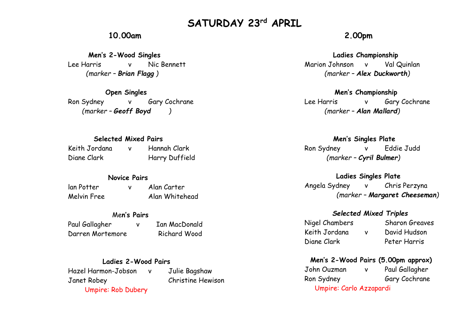# **SATURDAY 23rd APRIL**

# **10.00am**

 **Men's 2-Wood Singles** Lee Harris v Nic Bennett *(marker – Brian Flagg )*

 **Open Singles** Ron Sydney v Gary Cochrane  *(marker – Geoff Boyd )*

## **Selected Mixed Pairs**

Keith Jordana v Hannah Clark Diane Clark Harry Duffield

## **Novice Pairs**

lan Potter v Alan Carter Melvin Free Alan Whitehead

## Me**n's Pairs**

Paul Gallagher v Ian MacDonald Darren Mortemore Richard Wood

#### **Ladies 2-Wood Pairs**

Hazel Harmon-Jobson v Julie Bagshaw Janet Robey Christine Hewison Umpire: Rob Dubery

# **2.00pm**

#### **Ladies Championship**

Marion Johnson v Val Quinlan *(marker – Alex Duckworth)*

#### **Men's Championship**

Lee Harris v Gary Cochrane *(marker – Alan Mallard)*

#### **Men's Singles Plate**

Ron Sydney v Eddie Judd *(marker – Cyril Bulmer)*

#### **Ladies Singles Plate**

Angela Sydney v Chris Perzyna  *(marker – Margaret Cheeseman)*

#### *Selected Mixed Triples*

Keith Jordana v David Hudson Diane Clark Peter Harris

Nigel Chambers Sharon Greaves

## **Men's 2-Wood Pairs (5.00pm approx)**

John Ouzman v Paul Gallagher Ron Sydney Gary Cochrane Umpire: Carlo Azzapardi